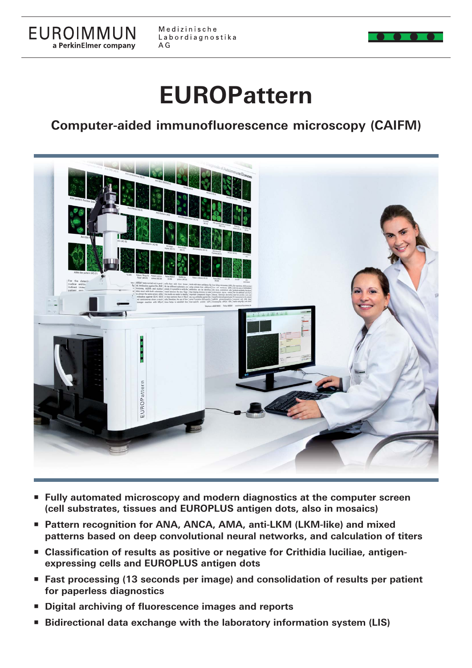

Medizinische Labordiagnostika  $A G$ 

# **EUROPattern**

## **Computer-aided immunofluorescence microscopy (CAIFM)**



- **Fully automated microscopy and modern diagnostics at the computer screen (cell substrates, tissues and EUROPLUS antigen dots, also in mosaics)**
- **Pattern recognition for ANA, ANCA, AMA, anti-LKM (LKM-like) and mixed patterns based on deep convolutional neural networks, and calculation of titers**
- Classification of results as positive or negative for Crithidia luciliae, antigen**expressing cells and EUROPLUS antigen dots**
- **Fast processing (13 seconds per image) and consolidation of results per patient for paperless diagnostics**
- **Digital archiving of fluorescence images and reports**
- **Bidirectional data exchange with the laboratory information system (LIS)**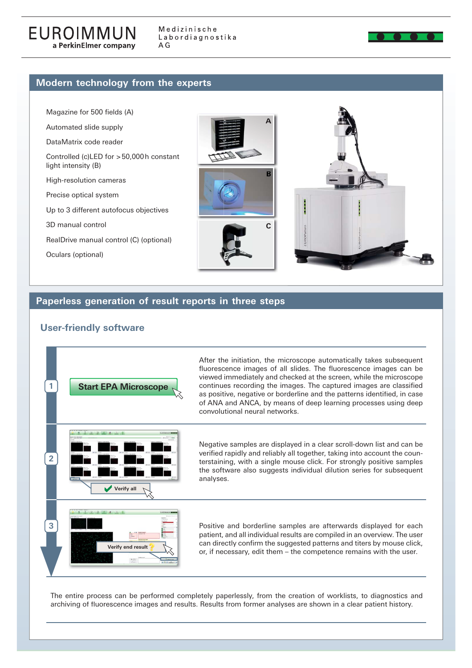

### **Modern technology from the experts**

Magazine for 500 fields (A)

Automated slide supply

DataMatrix code reader

Controlled (c)LED for > 50,000 h constant light intensity (B)

High-resolution cameras

Precise optical system

Up to 3 different autofocus objectives

3D manual control

RealDrive manual control (C) (optional)

Oculars (optional)





### **Paperless generation of result reports in three steps**

### **User-friendly software**



The entire process can be performed completely paperlessly, from the creation of worklists, to diagnostics and archiving of fluorescence images and results. Results from former analyses are shown in a clear patient history.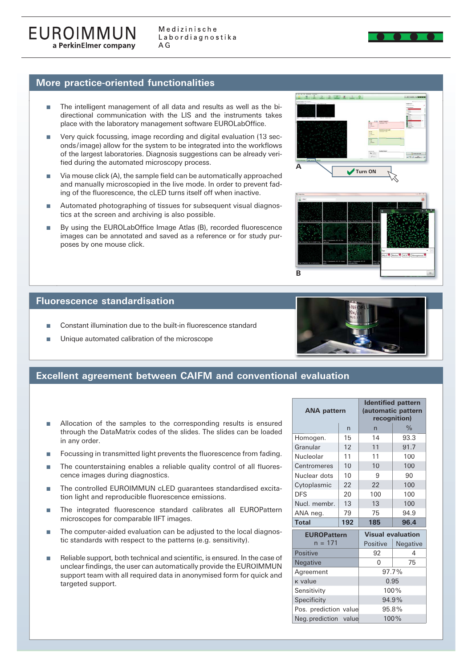### **More practice-oriented functionalities**

- The intelligent management of all data and results as well as the bidirectional communication with the LIS and the instruments takes place with the laboratory management software EUROLabOffice.
- Very quick focussing, image recording and digital evaluation (13 seconds/image) allow for the system to be integrated into the workflows of the largest laboratories. Diagnosis suggestions can be already verified during the automated microscopy process.
- $\blacksquare$  Via mouse click (A), the sample field can be automatically approached and manually microscopied in the live mode. In order to prevent fading of the fluorescence, the cLED turns itself off when inactive.
- Automated photographing of tissues for subsequent visual diagnostics at the screen and archiving is also possible.
- By using the EUROLabOffice Image Atlas (B), recorded fluorescence images can be annotated and saved as a reference or for study purposes by one mouse click.





### **Fluorescence standardisation**

- Constant illumination due to the built-in fluorescence standard
- Unique automated calibration of the microscope



### **Excellent agreement between CAIFM and conventional evaluation**

- Allocation of the samples to the corresponding results is ensured through the DataMatrix codes of the slides. The slides can be loaded in any order.
- Focussing in transmitted light prevents the fluorescence from fading.
- The counterstaining enables a reliable quality control of all fluorescence images during diagnostics.
- The controlled EUROIMMUN cLED guarantees standardised excitation light and reproducible fluorescence emissions.
- The integrated fluorescence standard calibrates all EUROPattern microscopes for comparable IIFT images.
- The computer-aided evaluation can be adjusted to the local diagnostic standards with respect to the patterns (e.g. sensitivity).
- Reliable support, both technical and scientific, is ensured. In the case of unclear findings, the user can automatically provide the EUROIMMUN support team with all required data in anonymised form for quick and targeted support.

| <b>ANA pattern</b>    |              | <b>Identified pattern</b><br>(automatic pattern<br>recognition) |               |
|-----------------------|--------------|-----------------------------------------------------------------|---------------|
|                       | $\mathsf{n}$ | $\overline{n}$                                                  | $\frac{0}{0}$ |
| Homogen.              | 15           | 14                                                              | 93.3          |
| Granular              | 12           | 11                                                              | 91.7          |
| Nucleolar             | 11           | 11                                                              | 100           |
| Centromeres           | 10           | 10                                                              | 100           |
| Nuclear dots          | 10           | 9                                                               | 90            |
| Cytoplasmic           | 22           | 22                                                              | 100           |
| <b>DFS</b>            | 20           | 100                                                             | 100           |
| Nucl. membr.          | 13           | 13                                                              | 100           |
| ANA neg.              | 79           | 75                                                              | 94.9          |
| <b>Total</b>          | 192          | 185                                                             | 96.4          |
| <b>EUROPattern</b>    |              | <b>Visual evaluation</b>                                        |               |
| $n = 171$             |              | Positive                                                        | Negative      |
| <b>Positive</b>       |              | 92                                                              | 4             |
| Negative              |              | 0                                                               | 75            |
| Agreement             |              | 97.7%                                                           |               |
| <b>k</b> value        |              | 0.95                                                            |               |
| Sensitivity           |              | 100%                                                            |               |
| Specificity           |              | 94.9%                                                           |               |
| Pos. prediction value |              | 95.8%                                                           |               |

Neg. prediction value 100%